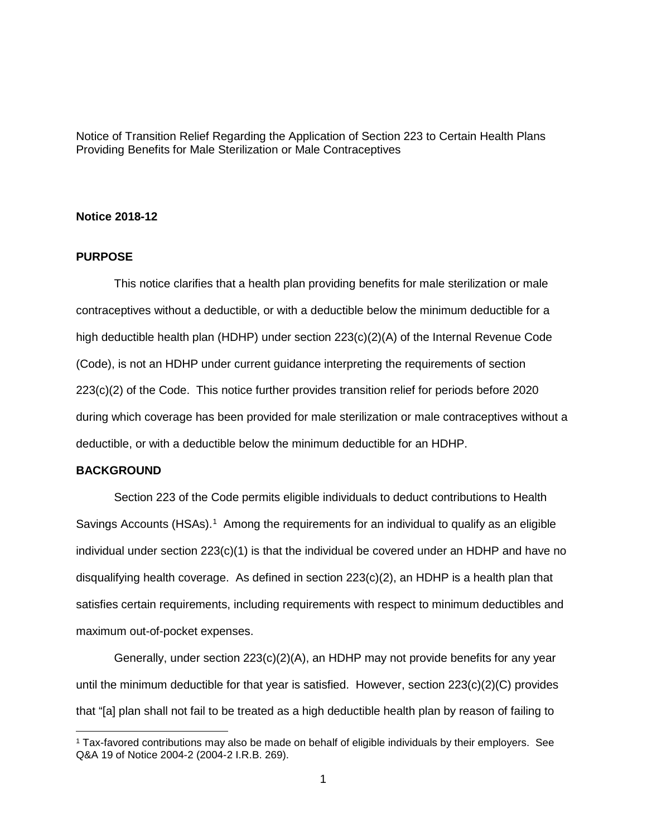Notice of Transition Relief Regarding the Application of Section 223 to Certain Health Plans Providing Benefits for Male Sterilization or Male Contraceptives

## **Notice 2018-12**

# **PURPOSE**

This notice clarifies that a health plan providing benefits for male sterilization or male contraceptives without a deductible, or with a deductible below the minimum deductible for a high deductible health plan (HDHP) under section 223(c)(2)(A) of the Internal Revenue Code (Code), is not an HDHP under current guidance interpreting the requirements of section 223(c)(2) of the Code. This notice further provides transition relief for periods before 2020 during which coverage has been provided for male sterilization or male contraceptives without a deductible, or with a deductible below the minimum deductible for an HDHP.

# **BACKGROUND**

Section 223 of the Code permits eligible individuals to deduct contributions to Health Savings Accounts (HSAs).<sup>1</sup> Among the requirements for an individual to qualify as an eligible individual under section  $223(c)(1)$  is that the individual be covered under an HDHP and have no disqualifying health coverage. As defined in section 223(c)(2), an HDHP is a health plan that satisfies certain requirements, including requirements with respect to minimum deductibles and maximum out-of-pocket expenses.

Generally, under section 223(c)(2)(A), an HDHP may not provide benefits for any year until the minimum deductible for that year is satisfied. However, section  $223(c)(2)(C)$  provides that "[a] plan shall not fail to be treated as a high deductible health plan by reason of failing to

<span id="page-0-0"></span> <sup>1</sup> Tax-favored contributions may also be made on behalf of eligible individuals by their employers. See Q&A 19 of Notice 2004-2 (2004-2 I.R.B. 269).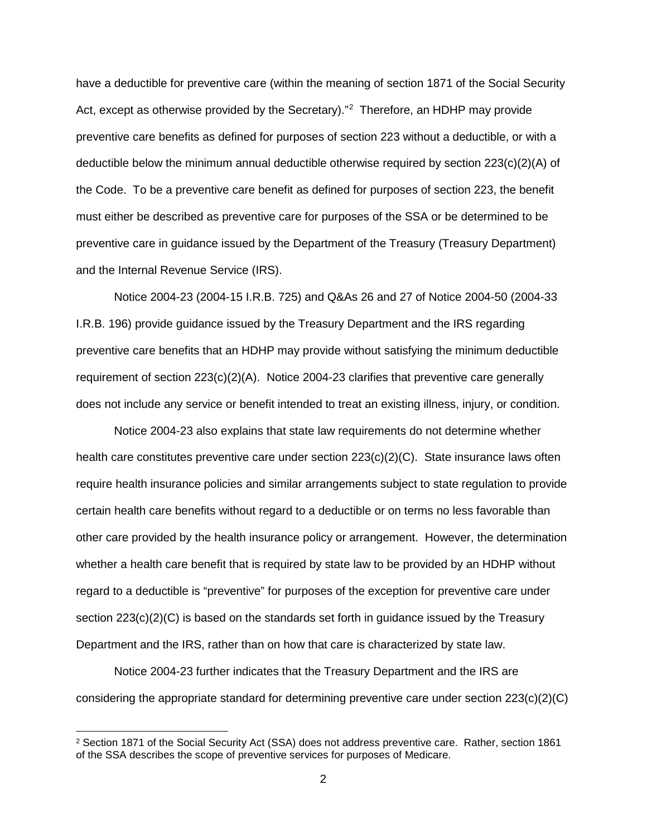have a deductible for preventive care (within the meaning of section 1871 of the Social Security Act, except as otherwise provided by the Secretary)."<sup>[2](#page-1-0)</sup> Therefore, an HDHP may provide preventive care benefits as defined for purposes of section 223 without a deductible, or with a deductible below the minimum annual deductible otherwise required by section 223(c)(2)(A) of the Code. To be a preventive care benefit as defined for purposes of section 223, the benefit must either be described as preventive care for purposes of the SSA or be determined to be preventive care in guidance issued by the Department of the Treasury (Treasury Department) and the Internal Revenue Service (IRS).

Notice 2004-23 (2004-15 I.R.B. 725) and Q&As 26 and 27 of Notice 2004-50 (2004-33 I.R.B. 196) provide guidance issued by the Treasury Department and the IRS regarding preventive care benefits that an HDHP may provide without satisfying the minimum deductible requirement of section 223(c)(2)(A). Notice 2004-23 clarifies that preventive care generally does not include any service or benefit intended to treat an existing illness, injury, or condition.

Notice 2004-23 also explains that state law requirements do not determine whether health care constitutes preventive care under section  $223(c)(2)(C)$ . State insurance laws often require health insurance policies and similar arrangements subject to state regulation to provide certain health care benefits without regard to a deductible or on terms no less favorable than other care provided by the health insurance policy or arrangement. However, the determination whether a health care benefit that is required by state law to be provided by an HDHP without regard to a deductible is "preventive" for purposes of the exception for preventive care under section 223(c)(2)(C) is based on the standards set forth in guidance issued by the Treasury Department and the IRS, rather than on how that care is characterized by state law.

Notice 2004-23 further indicates that the Treasury Department and the IRS are considering the appropriate standard for determining preventive care under section 223(c)(2)(C)

<span id="page-1-0"></span> <sup>2</sup> Section 1871 of the Social Security Act (SSA) does not address preventive care. Rather, section 1861 of the SSA describes the scope of preventive services for purposes of Medicare.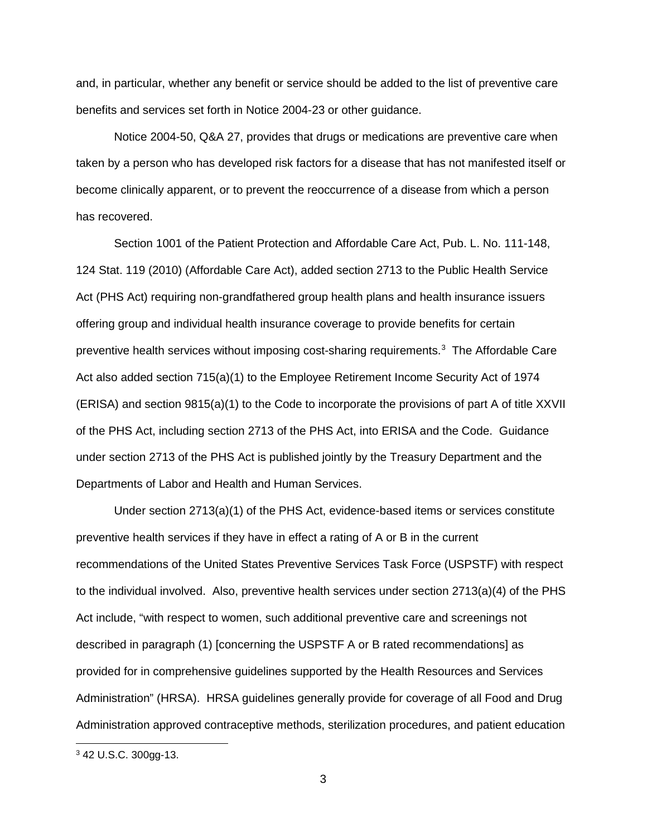and, in particular, whether any benefit or service should be added to the list of preventive care benefits and services set forth in Notice 2004-23 or other guidance.

Notice 2004-50, Q&A 27, provides that drugs or medications are preventive care when taken by a person who has developed risk factors for a disease that has not manifested itself or become clinically apparent, or to prevent the reoccurrence of a disease from which a person has recovered.

Section 1001 of the Patient Protection and Affordable Care Act, Pub. L. No. 111-148, 124 Stat. 119 (2010) (Affordable Care Act), added section 2713 to the Public Health Service Act (PHS Act) requiring non-grandfathered group health plans and health insurance issuers offering group and individual health insurance coverage to provide benefits for certain preventive health services without imposing cost-sharing requirements.<sup>[3](#page-2-0)</sup> The Affordable Care Act also added section 715(a)(1) to the Employee Retirement Income Security Act of 1974 (ERISA) and section 9815(a)(1) to the Code to incorporate the provisions of part A of title XXVII of the PHS Act, including section 2713 of the PHS Act, into ERISA and the Code. Guidance under section 2713 of the PHS Act is published jointly by the Treasury Department and the Departments of Labor and Health and Human Services.

Under section 2713(a)(1) of the PHS Act, evidence-based items or services constitute preventive health services if they have in effect a rating of A or B in the current recommendations of the United States Preventive Services Task Force (USPSTF) with respect to the individual involved. Also, preventive health services under section 2713(a)(4) of the PHS Act include, "with respect to women, such additional preventive care and screenings not described in paragraph (1) [concerning the USPSTF A or B rated recommendations] as provided for in comprehensive guidelines supported by the Health Resources and Services Administration" (HRSA). HRSA guidelines generally provide for coverage of all Food and Drug Administration approved contraceptive methods, sterilization procedures, and patient education

<span id="page-2-0"></span> <sup>3</sup> 42 U.S.C. 300gg-13.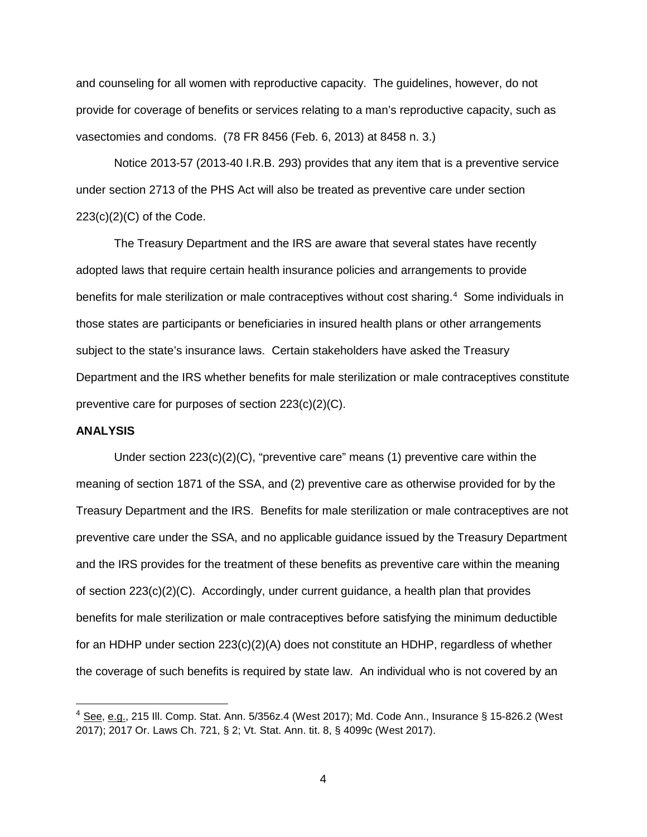and counseling for all women with reproductive capacity. The guidelines, however, do not provide for coverage of benefits or services relating to a man's reproductive capacity, such as vasectomies and condoms. (78 FR 8456 (Feb. 6, 2013) at 8458 n. 3.)

Notice 2013-57 (2013-40 I.R.B. 293) provides that any item that is a preventive service under section 2713 of the PHS Act will also be treated as preventive care under section 223(c)(2)(C) of the Code.

The Treasury Department and the IRS are aware that several states have recently adopted laws that require certain health insurance policies and arrangements to provide benefits for male sterilization or male contraceptives without cost sharing.<sup>[4](#page-3-0)</sup> Some individuals in those states are participants or beneficiaries in insured health plans or other arrangements subject to the state's insurance laws. Certain stakeholders have asked the Treasury Department and the IRS whether benefits for male sterilization or male contraceptives constitute preventive care for purposes of section 223(c)(2)(C).

# **ANALYSIS**

Under section 223(c)(2)(C), "preventive care" means (1) preventive care within the meaning of section 1871 of the SSA, and (2) preventive care as otherwise provided for by the Treasury Department and the IRS. Benefits for male sterilization or male contraceptives are not preventive care under the SSA, and no applicable guidance issued by the Treasury Department and the IRS provides for the treatment of these benefits as preventive care within the meaning of section 223(c)(2)(C). Accordingly, under current guidance, a health plan that provides benefits for male sterilization or male contraceptives before satisfying the minimum deductible for an HDHP under section 223(c)(2)(A) does not constitute an HDHP, regardless of whether the coverage of such benefits is required by state law. An individual who is not covered by an

<span id="page-3-0"></span> $4$  See, e.g., 215 III. Comp. Stat. Ann. 5/356z.4 (West 2017); Md. Code Ann., Insurance § 15-826.2 (West 2017); 2017 Or. Laws Ch. 721, § 2; Vt. Stat. Ann. tit. 8, § 4099c (West 2017).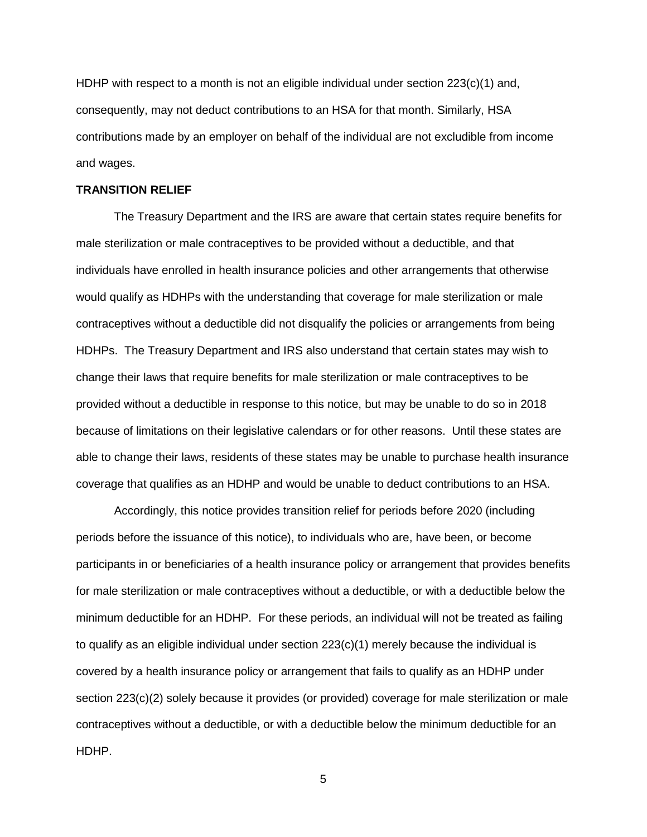HDHP with respect to a month is not an eligible individual under section 223(c)(1) and, consequently, may not deduct contributions to an HSA for that month. Similarly, HSA contributions made by an employer on behalf of the individual are not excludible from income and wages.

#### **TRANSITION RELIEF**

The Treasury Department and the IRS are aware that certain states require benefits for male sterilization or male contraceptives to be provided without a deductible, and that individuals have enrolled in health insurance policies and other arrangements that otherwise would qualify as HDHPs with the understanding that coverage for male sterilization or male contraceptives without a deductible did not disqualify the policies or arrangements from being HDHPs. The Treasury Department and IRS also understand that certain states may wish to change their laws that require benefits for male sterilization or male contraceptives to be provided without a deductible in response to this notice, but may be unable to do so in 2018 because of limitations on their legislative calendars or for other reasons. Until these states are able to change their laws, residents of these states may be unable to purchase health insurance coverage that qualifies as an HDHP and would be unable to deduct contributions to an HSA.

Accordingly, this notice provides transition relief for periods before 2020 (including periods before the issuance of this notice), to individuals who are, have been, or become participants in or beneficiaries of a health insurance policy or arrangement that provides benefits for male sterilization or male contraceptives without a deductible, or with a deductible below the minimum deductible for an HDHP. For these periods, an individual will not be treated as failing to qualify as an eligible individual under section  $223(c)(1)$  merely because the individual is covered by a health insurance policy or arrangement that fails to qualify as an HDHP under section 223(c)(2) solely because it provides (or provided) coverage for male sterilization or male contraceptives without a deductible, or with a deductible below the minimum deductible for an HDHP.

5